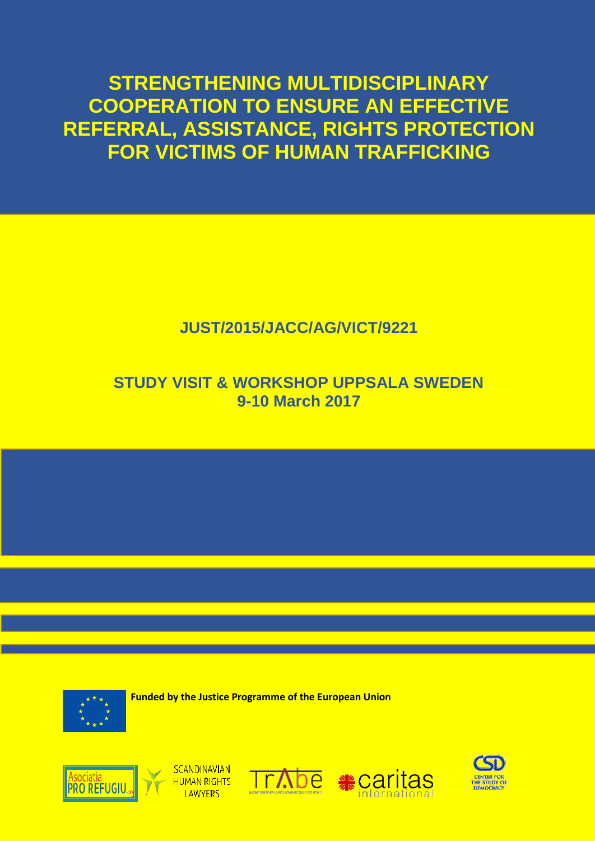**STRENGTHENING MULTIDISCIPLINARY COOPERATION TO ENSURE AN EFFECTIVE REFERRAL, ASSISTANCE, RIGHTS PROTECTION FOR VICTIMS OF HUMAN TRAFFICKING**

# **JUST/2015/JACC/AG/VICT/9221**

## **STUDY VISIT & WORKSHOP UPPSALA SWEDEN 9-10 March 2017**



 **Funded by the Justice Programme of the European Union**









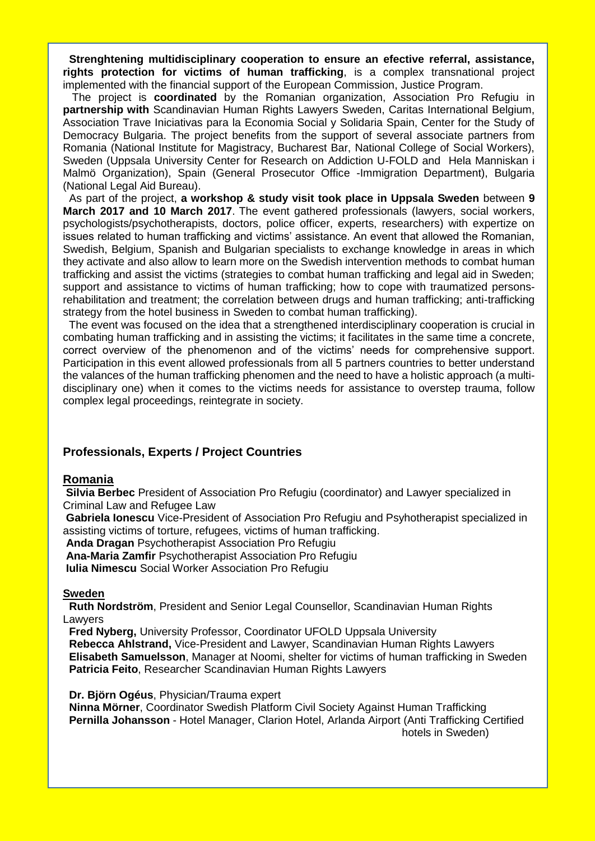**Strenghtening multidisciplinary cooperation to ensure an efective referral, assistance, rights protection for victims of human trafficking**, is a complex transnational project implemented with the financial support of the European Commission, Justice Program.

 The project is **coordinated** by the Romanian organization, Association Pro Refugiu in **partnership with** Scandinavian Human Rights Lawyers Sweden, Caritas International Belgium, Association Trave Iniciativas para la Economia Social y Solidaria Spain, Center for the Study of Democracy Bulgaria. The project benefits from the support of several associate partners from Romania (National Institute for Magistracy, Bucharest Bar, National College of Social Workers), Sweden (Uppsala University Center for Research on Addiction U-FOLD and Hela Manniskan i Malmö Organization), Spain (General Prosecutor Office -Immigration Department), Bulgaria (National Legal Aid Bureau).

As part of the project, **a workshop & study visit took place in Uppsala Sweden** between **9 March 2017 and 10 March 2017**. The event gathered professionals (lawyers, social workers, psychologists/psychotherapists, doctors, police officer, experts, researchers) with expertize on issues related to human trafficking and victims' assistance. An event that allowed the Romanian, Swedish, Belgium, Spanish and Bulgarian specialists to exchange knowledge in areas in which they activate and also allow to learn more on the Swedish intervention methods to combat human trafficking and assist the victims (strategies to combat human trafficking and legal aid in Sweden; support and assistance to victims of human trafficking; how to cope with traumatized personsrehabilitation and treatment; the correlation between drugs and human trafficking; anti-trafficking strategy from the hotel business in Sweden to combat human trafficking).

 The event was focused on the idea that a strengthened interdisciplinary cooperation is crucial in combating human trafficking and in assisting the victims; it facilitates in the same time a concrete, correct overview of the phenomenon and of the victims' needs for comprehensive support. Participation in this event allowed professionals from all 5 partners countries to better understand the valances of the human trafficking phenomen and the need to have a holistic approach (a multidisciplinary one) when it comes to the victims needs for assistance to overstep trauma, follow complex legal proceedings, reintegrate in society.

### **Professionals, Experts / Project Countries**

#### **Romania**

**Silvia Berbec** President of Association Pro Refugiu (coordinator) and Lawyer specialized in Criminal Law and Refugee Law

**Gabriela Ionescu** Vice-President of Association Pro Refugiu and Psyhotherapist specialized in assisting victims of torture, refugees, victims of human trafficking.

**Anda Dragan** Psychotherapist Association Pro Refugiu

**Ana-Maria Zamfir** Psychotherapist Association Pro Refugiu

**Iulia Nimescu** Social Worker Association Pro Refugiu

#### **Sweden**

 **Ruth Nordström**, President and Senior Legal Counsellor, Scandinavian Human Rights **Lawvers** 

 **Fred Nyberg,** University Professor, Coordinator UFOLD Uppsala University  **Rebecca Ahlstrand,** Vice-President and Lawyer, Scandinavian Human Rights Lawyers  **Elisabeth Samuelsson**, Manager at Noomi, shelter for victims of human trafficking in Sweden **Patricia Feito**, Researcher Scandinavian Human Rights Lawyers

 **Dr. Björn Ogéus**, Physician/Trauma expert

 **Ninna Mörner**, Coordinator Swedish Platform Civil Society Against Human Trafficking  **Pernilla Johansson** - Hotel Manager, Clarion Hotel, Arlanda Airport (Anti Trafficking Certified hotels in Sweden)